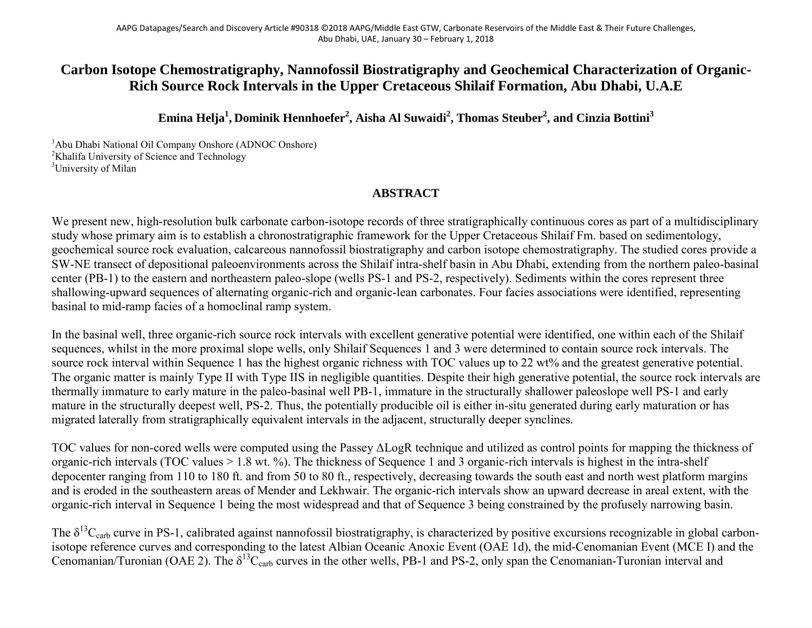## **Carbon Isotope Chemostratigraphy, Nannofossil Biostratigraphy and Geochemical Characterization of Organic-Rich Source Rock Intervals in the Upper Cretaceous Shilaif Formation, Abu Dhabi, U.A.E**

**Emina Helja1 , Dominik Hennhoefer2 , Aisha Al Suwaidi2 , Thomas Steuber2 , and Cinzia Bottini3**

<sup>1</sup>Abu Dhabi National Oil Company Onshore (ADNOC Onshore) <sup>2</sup>Khalifa University of Science and Technology <sup>3</sup>University of Milan

## **ABSTRACT**

We present new, high-resolution bulk carbonate carbon-isotope records of three stratigraphically continuous cores as part of a multidisciplinary study whose primary aim is to establish a chronostratigraphic framework for the Upper Cretaceous Shilaif Fm. based on sedimentology, geochemical source rock evaluation, calcareous nannofossil biostratigraphy and carbon isotope chemostratigraphy. The studied cores provide a SW-NE transect of depositional paleoenvironments across the Shilaif intra-shelf basin in Abu Dhabi, extending from the northern paleo-basinal center (PB-1) to the eastern and northeastern paleo-slope (wells PS-1 and PS-2, respectively). Sediments within the cores represent three shallowing-upward sequences of alternating organic-rich and organic-lean carbonates. Four facies associations were identified, representing basinal to mid-ramp facies of a homoclinal ramp system.

In the basinal well, three organic-rich source rock intervals with excellent generative potential were identified, one within each of the Shilaif sequences, whilst in the more proximal slope wells, only Shilaif Sequences 1 and 3 were determined to contain source rock intervals. The source rock interval within Sequence 1 has the highest organic richness with TOC values up to 22 wt% and the greatest generative potential. The organic matter is mainly Type II with Type IIS in negligible quantities. Despite their high generative potential, the source rock intervals are thermally immature to early mature in the paleo-basinal well PB-1, immature in the structurally shallower paleoslope well PS-1 and early mature in the structurally deepest well, PS-2. Thus, the potentially producible oil is either in-situ generated during early maturation or has migrated laterally from stratigraphically equivalent intervals in the adjacent, structurally deeper synclines.

TOC values for non-cored wells were computed using the Passey ΔLogR technique and utilized as control points for mapping the thickness of organic-rich intervals (TOC values > 1.8 wt. %). The thickness of Sequence 1 and 3 organic-rich intervals is highest in the intra-shelf depocenter ranging from 110 to 180 ft. and from 50 to 80 ft., respectively, decreasing towards the south east and north west platform margins and is eroded in the southeastern areas of Mender and Lekhwair. The organic-rich intervals show an upward decrease in areal extent, with the organic-rich interval in Sequence 1 being the most widespread and that of Sequence 3 being constrained by the profusely narrowing basin.

The  $\delta^{13}C_{\text{carb}}$  curve in PS-1, calibrated against nannofossil biostratigraphy, is characterized by positive excursions recognizable in global carbonisotope reference curves and corresponding to the latest Albian Oceanic Anoxic Event (OAE 1d), the mid-Cenomanian Event (MCE I) and the Cenomanian/Turonian (OAE 2). The  $\delta^{13}C_{\text{carb}}$  curves in the other wells, PB-1 and PS-2, only span the Cenomanian-Turonian interval and